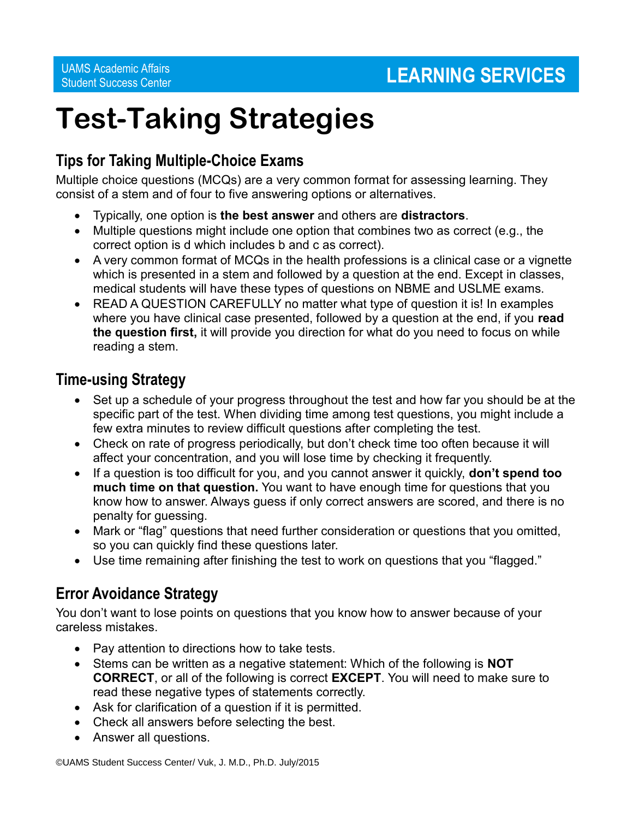# **Test-Taking Strategies**

# **Tips for Taking Multiple-Choice Exams**

Multiple choice questions (MCQs) are a very common format for assessing learning. They consist of a stem and of four to five answering options or alternatives.

- Typically, one option is **the best answer** and others are **distractors**.
- Multiple questions might include one option that combines two as correct (e.g., the correct option is d which includes b and c as correct).
- A very common format of MCQs in the health professions is a clinical case or a vignette which is presented in a stem and followed by a question at the end. Except in classes, medical students will have these types of questions on NBME and USLME exams.
- READ A QUESTION CAREFULLY no matter what type of question it is! In examples where you have clinical case presented, followed by a question at the end, if you **read the question first,** it will provide you direction for what do you need to focus on while reading a stem.

## **Time-using Strategy**

- Set up a schedule of your progress throughout the test and how far you should be at the specific part of the test. When dividing time among test questions, you might include a few extra minutes to review difficult questions after completing the test.
- Check on rate of progress periodically, but don't check time too often because it will affect your concentration, and you will lose time by checking it frequently.
- If a question is too difficult for you, and you cannot answer it quickly, **don't spend too much time on that question.** You want to have enough time for questions that you know how to answer. Always guess if only correct answers are scored, and there is no penalty for guessing.
- Mark or "flag" questions that need further consideration or questions that you omitted, so you can quickly find these questions later.
- Use time remaining after finishing the test to work on questions that you "flagged."

# **Error Avoidance Strategy**

You don't want to lose points on questions that you know how to answer because of your careless mistakes.

- Pay attention to directions how to take tests.
- Stems can be written as a negative statement: Which of the following is **NOT CORRECT**, or all of the following is correct **EXCEPT**. You will need to make sure to read these negative types of statements correctly.
- Ask for clarification of a question if it is permitted.
- Check all answers before selecting the best.
- Answer all questions.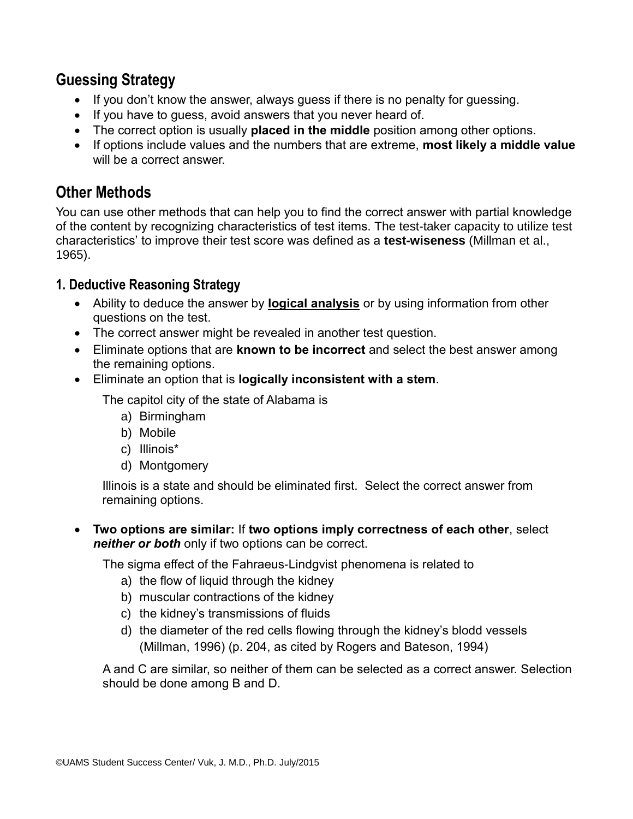## **Guessing Strategy**

- If you don't know the answer, always quess if there is no penalty for quessing.
- If you have to guess, avoid answers that you never heard of.
- The correct option is usually **placed in the middle** position among other options.
- If options include values and the numbers that are extreme, **most likely a middle value** will be a correct answer.

## **Other Methods**

You can use other methods that can help you to find the correct answer with partial knowledge of the content by recognizing characteristics of test items. The test-taker capacity to utilize test characteristics' to improve their test score was defined as a **test-wiseness** (Millman et al., 1965).

## **1. Deductive Reasoning Strategy**

- Ability to deduce the answer by **logical analysis** or by using information from other questions on the test.
- The correct answer might be revealed in another test question.
- Eliminate options that are **known to be incorrect** and select the best answer among the remaining options.
- Eliminate an option that is **logically inconsistent with a stem**.

The capitol city of the state of Alabama is

- a) Birmingham
- b) Mobile
- c) Illinois\*
- d) Montgomery

Illinois is a state and should be eliminated first. Select the correct answer from remaining options.

 **Two options are similar:** If **two options imply correctness of each other**, select *neither or both* only if two options can be correct.

The sigma effect of the Fahraeus-Lindgvist phenomena is related to

- a) the flow of liquid through the kidney
- b) muscular contractions of the kidney
- c) the kidney's transmissions of fluids
- d) the diameter of the red cells flowing through the kidney's blodd vessels (Millman, 1996) (p. 204, as cited by Rogers and Bateson, 1994)

A and C are similar, so neither of them can be selected as a correct answer. Selection should be done among B and D.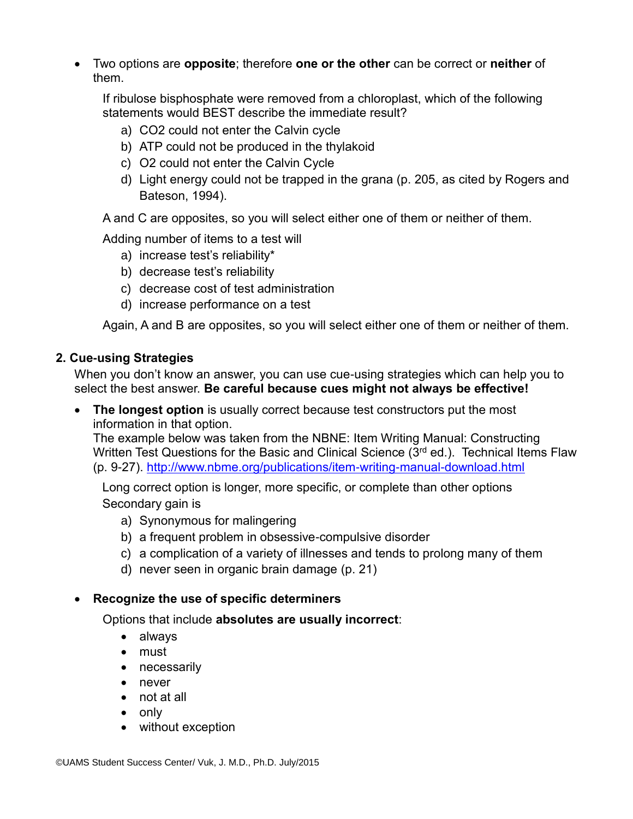Two options are **opposite**; therefore **one or the other** can be correct or **neither** of them.

If ribulose bisphosphate were removed from a chloroplast, which of the following statements would BEST describe the immediate result?

- a) CO2 could not enter the Calvin cycle
- b) ATP could not be produced in the thylakoid
- c) O2 could not enter the Calvin Cycle
- d) Light energy could not be trapped in the grana (p. 205, as cited by Rogers and Bateson, 1994).

A and C are opposites, so you will select either one of them or neither of them.

Adding number of items to a test will

- a) increase test's reliability\*
- b) decrease test's reliability
- c) decrease cost of test administration
- d) increase performance on a test

Again, A and B are opposites, so you will select either one of them or neither of them.

### **2. Cue-using Strategies**

When you don't know an answer, you can use cue-using strategies which can help you to select the best answer. **Be careful because cues might not always be effective!**

 **The longest option** is usually correct because test constructors put the most information in that option.

The example below was taken from the NBNE: Item Writing Manual: Constructing Written Test Questions for the Basic and Clinical Science (3<sup>rd</sup> ed.). Technical Items Flaw (p. 9-27).<http://www.nbme.org/publications/item-writing-manual-download.html>

Long correct option is longer, more specific, or complete than other options Secondary gain is

- a) Synonymous for malingering
- b) a frequent problem in obsessive-compulsive disorder
- c) a complication of a variety of illnesses and tends to prolong many of them
- d) never seen in organic brain damage (p. 21)

### **Recognize the use of specific determiners**

Options that include **absolutes are usually incorrect**:

- always
- must
- necessarily
- never
- not at all
- $\bullet$  only
- without exception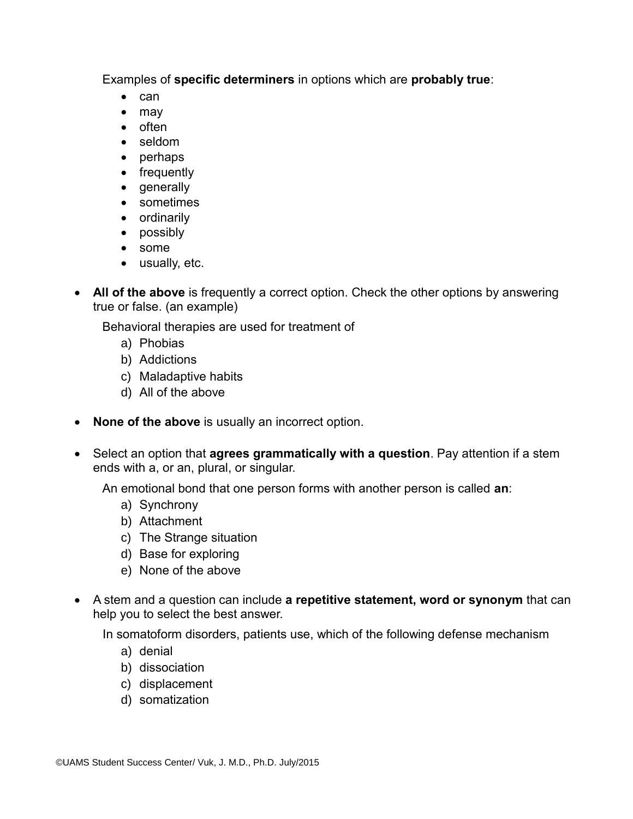Examples of **specific determiners** in options which are **probably true**:

- $\bullet$  can
- may
- $\bullet$  often
- seldom
- perhaps
- frequently
- generally
- sometimes
- ordinarily
- possibly
- some
- usually, etc.
- All of the above is frequently a correct option. Check the other options by answering true or false. (an example)

Behavioral therapies are used for treatment of

- a) Phobias
- b) Addictions
- c) Maladaptive habits
- d) All of the above
- **None of the above** is usually an incorrect option.
- Select an option that **agrees grammatically with a question**. Pay attention if a stem ends with a, or an, plural, or singular.

An emotional bond that one person forms with another person is called **an**:

- a) Synchrony
- b) Attachment
- c) The Strange situation
- d) Base for exploring
- e) None of the above
- A stem and a question can include **a repetitive statement, word or synonym** that can help you to select the best answer.

In somatoform disorders, patients use, which of the following defense mechanism

- a) denial
- b) dissociation
- c) displacement
- d) somatization